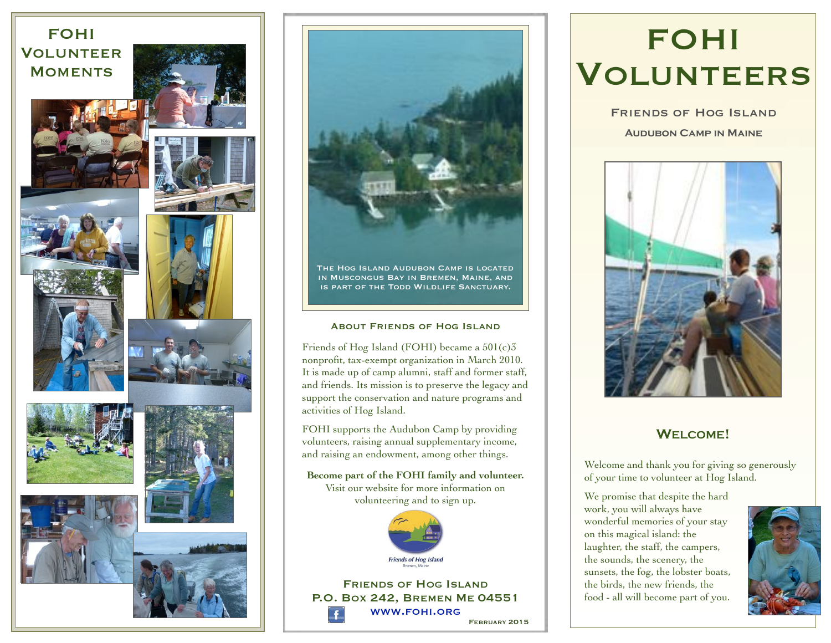### FOHI **VOLUNTEER MOMENTS**



















The Hog Island Audubon Camp is located in Muscongus Bay in Bremen, Maine, and is part of the Todd Wildlife Sanctuary.

#### About Friends of Hog Island

Friends of Hog Island (FOHI) became a 501(c)3 nonprofit, tax-exempt organization in March 2010. It is made up of camp alumni, staff and former staff, and friends. Its mission is to preserve the legacy and support the conservation and nature programs and activities of Hog Island.

FOHI supports the Audubon Camp by providing volunteers, raising annual supplementary income, and raising an endowment, among other things.

**Become part of the FOHI family and volunteer.**  Visit our website for more information on volunteering and to sign up.



FRIENDS OF HOG ISLAND P.O. BOX 242, BREMEN ME 04551 [WWW.FOHI.ORG](http://www.fohi.org) FEBRUARY 2015

## FOHI VOLUNTEERS

Friends of Hog Island **Audubon Camp in Maine**



### **WELCOME!**

Welcome and thank you for giving so generously of your time to volunteer at Hog Island.

We promise that despite the hard work, you will always have wonderful memories of your stay on this magical island: the laughter, the staff, the campers, the sounds, the scenery, the sunsets, the fog, the lobster boats, the birds, the new friends, the food - all will become part of you.